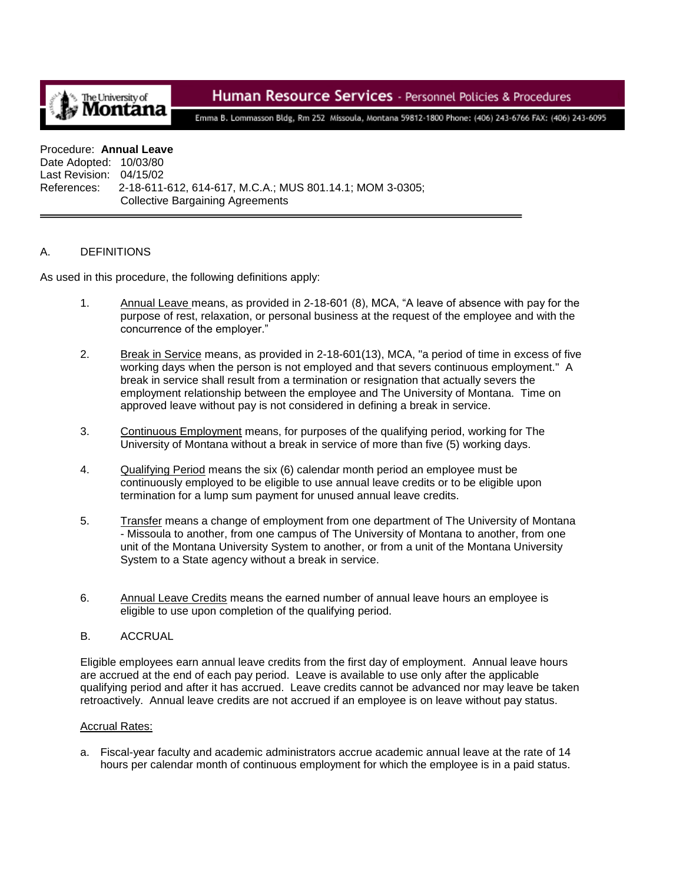

# Human Resource Services - Personnel Policies & Procedures

Emma B. Lommasson Bldg, Rm 252 Missoula, Montana 59812-1800 Phone: (406) 243-6766 FAX: (406) 243-6095

#### Procedure: **Annual Leave**

Date Adopted: 10/03/80 Last Revision: 04/15/02 References: 2-18-611-612, 614-617, M.C.A.; MUS 801.14.1; MOM 3-0305; Collective Bargaining Agreements

#### A. DEFINITIONS

As used in this procedure, the following definitions apply:

- 1. Annual Leave means, as provided in 2-18-601 (8), MCA, "A leave of absence with pay for the purpose of rest, relaxation, or personal business at the request of the employee and with the concurrence of the employer."
- 2. Break in Service means, as provided in 2-18-601(13), MCA, "a period of time in excess of five working days when the person is not employed and that severs continuous employment." A break in service shall result from a termination or resignation that actually severs the employment relationship between the employee and The University of Montana. Time on approved leave without pay is not considered in defining a break in service.
- 3. Continuous Employment means, for purposes of the qualifying period, working for The University of Montana without a break in service of more than five (5) working days.
- 4. Qualifying Period means the six (6) calendar month period an employee must be continuously employed to be eligible to use annual leave credits or to be eligible upon termination for a lump sum payment for unused annual leave credits.
- 5. Transfer means a change of employment from one department of The University of Montana - Missoula to another, from one campus of The University of Montana to another, from one unit of the Montana University System to another, or from a unit of the Montana University System to a State agency without a break in service.
- 6. Annual Leave Credits means the earned number of annual leave hours an employee is eligible to use upon completion of the qualifying period.
- B. ACCRUAL

Eligible employees earn annual leave credits from the first day of employment. Annual leave hours are accrued at the end of each pay period. Leave is available to use only after the applicable qualifying period and after it has accrued. Leave credits cannot be advanced nor may leave be taken retroactively. Annual leave credits are not accrued if an employee is on leave without pay status.

#### Accrual Rates:

a. Fiscal-year faculty and academic administrators accrue academic annual leave at the rate of 14 hours per calendar month of continuous employment for which the employee is in a paid status.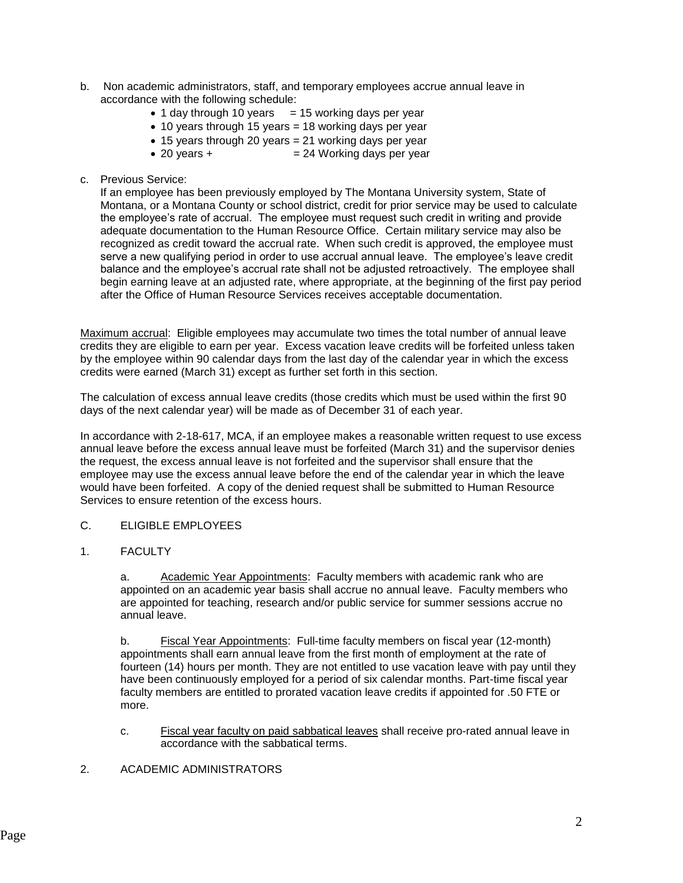- b. Non academic administrators, staff, and temporary employees accrue annual leave in accordance with the following schedule:
	- $\bullet$  1 day through 10 years = 15 working days per year
	- 10 years through 15 years = 18 working days per year
	- 15 years through 20 years = 21 working days per year
	- $\bullet$  20 years +  $=$  24 Working days per year
- c. Previous Service:

If an employee has been previously employed by The Montana University system, State of Montana, or a Montana County or school district, credit for prior service may be used to calculate the employee's rate of accrual. The employee must request such credit in writing and provide adequate documentation to the Human Resource Office. Certain military service may also be recognized as credit toward the accrual rate. When such credit is approved, the employee must serve a new qualifying period in order to use accrual annual leave. The employee's leave credit balance and the employee's accrual rate shall not be adjusted retroactively. The employee shall begin earning leave at an adjusted rate, where appropriate, at the beginning of the first pay period after the Office of Human Resource Services receives acceptable documentation.

Maximum accrual: Eligible employees may accumulate two times the total number of annual leave credits they are eligible to earn per year. Excess vacation leave credits will be forfeited unless taken by the employee within 90 calendar days from the last day of the calendar year in which the excess credits were earned (March 31) except as further set forth in this section.

The calculation of excess annual leave credits (those credits which must be used within the first 90 days of the next calendar year) will be made as of December 31 of each year.

In accordance with 2-18-617, MCA, if an employee makes a reasonable written request to use excess annual leave before the excess annual leave must be forfeited (March 31) and the supervisor denies the request, the excess annual leave is not forfeited and the supervisor shall ensure that the employee may use the excess annual leave before the end of the calendar year in which the leave would have been forfeited. A copy of the denied request shall be submitted to Human Resource Services to ensure retention of the excess hours.

- C. ELIGIBLE EMPLOYEES
- 1. FACULTY

a. Academic Year Appointments: Faculty members with academic rank who are appointed on an academic year basis shall accrue no annual leave. Faculty members who are appointed for teaching, research and/or public service for summer sessions accrue no annual leave.

b. Fiscal Year Appointments: Full-time faculty members on fiscal year (12-month) appointments shall earn annual leave from the first month of employment at the rate of fourteen (14) hours per month. They are not entitled to use vacation leave with pay until they have been continuously employed for a period of six calendar months. Part-time fiscal year faculty members are entitled to prorated vacation leave credits if appointed for .50 FTE or more.

- c. Fiscal year faculty on paid sabbatical leaves shall receive pro-rated annual leave in accordance with the sabbatical terms.
- 2. ACADEMIC ADMINISTRATORS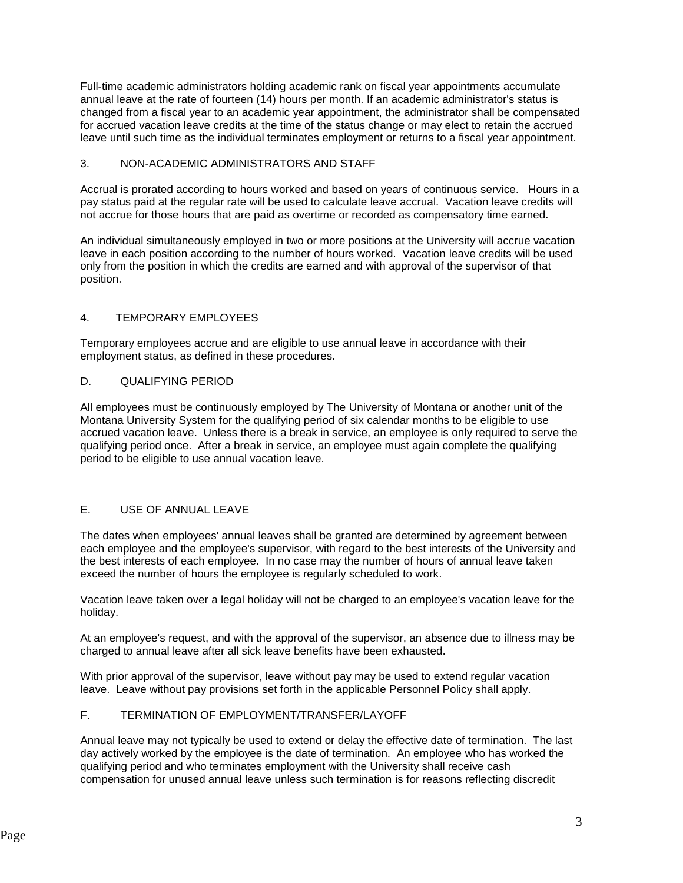Full-time academic administrators holding academic rank on fiscal year appointments accumulate annual leave at the rate of fourteen (14) hours per month. If an academic administrator's status is changed from a fiscal year to an academic year appointment, the administrator shall be compensated for accrued vacation leave credits at the time of the status change or may elect to retain the accrued leave until such time as the individual terminates employment or returns to a fiscal year appointment.

### 3. NON-ACADEMIC ADMINISTRATORS AND STAFF

Accrual is prorated according to hours worked and based on years of continuous service. Hours in a pay status paid at the regular rate will be used to calculate leave accrual. Vacation leave credits will not accrue for those hours that are paid as overtime or recorded as compensatory time earned.

An individual simultaneously employed in two or more positions at the University will accrue vacation leave in each position according to the number of hours worked. Vacation leave credits will be used only from the position in which the credits are earned and with approval of the supervisor of that position.

### 4. TEMPORARY EMPLOYEES

Temporary employees accrue and are eligible to use annual leave in accordance with their employment status, as defined in these procedures.

### D. QUALIFYING PERIOD

All employees must be continuously employed by The University of Montana or another unit of the Montana University System for the qualifying period of six calendar months to be eligible to use accrued vacation leave. Unless there is a break in service, an employee is only required to serve the qualifying period once. After a break in service, an employee must again complete the qualifying period to be eligible to use annual vacation leave.

# E. USE OF ANNUAL LEAVE

The dates when employees' annual leaves shall be granted are determined by agreement between each employee and the employee's supervisor, with regard to the best interests of the University and the best interests of each employee. In no case may the number of hours of annual leave taken exceed the number of hours the employee is regularly scheduled to work.

Vacation leave taken over a legal holiday will not be charged to an employee's vacation leave for the holiday.

At an employee's request, and with the approval of the supervisor, an absence due to illness may be charged to annual leave after all sick leave benefits have been exhausted.

With prior approval of the supervisor, leave without pay may be used to extend regular vacation leave. Leave without pay provisions set forth in the applicable Personnel Policy shall apply.

# F. TERMINATION OF EMPLOYMENT/TRANSFER/LAYOFF

Annual leave may not typically be used to extend or delay the effective date of termination. The last day actively worked by the employee is the date of termination. An employee who has worked the qualifying period and who terminates employment with the University shall receive cash compensation for unused annual leave unless such termination is for reasons reflecting discredit